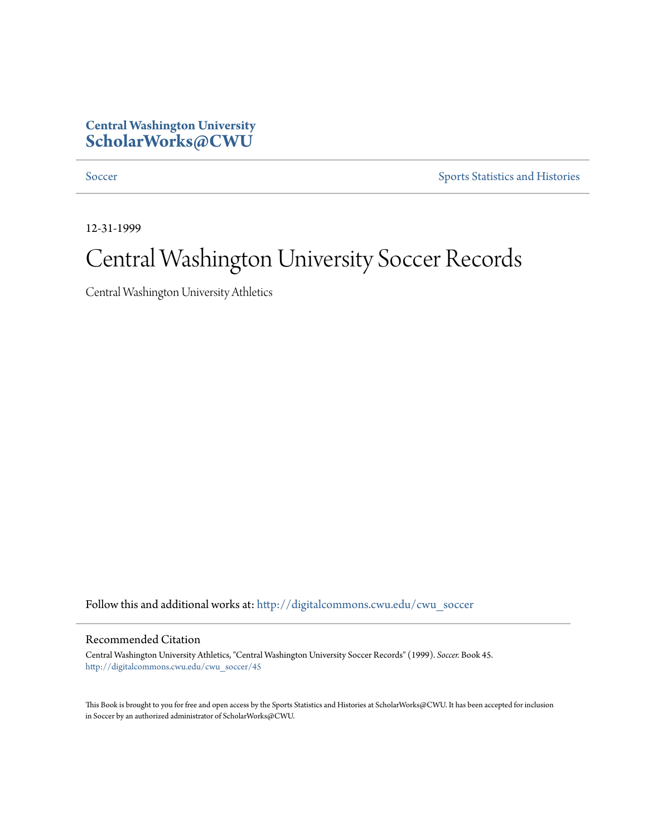## **Central Washington University [ScholarWorks@CWU](http://digitalcommons.cwu.edu?utm_source=digitalcommons.cwu.edu%2Fcwu_soccer%2F45&utm_medium=PDF&utm_campaign=PDFCoverPages)**

[Soccer](http://digitalcommons.cwu.edu/cwu_soccer?utm_source=digitalcommons.cwu.edu%2Fcwu_soccer%2F45&utm_medium=PDF&utm_campaign=PDFCoverPages) [Sports Statistics and Histories](http://digitalcommons.cwu.edu/cwu_sports_statistics?utm_source=digitalcommons.cwu.edu%2Fcwu_soccer%2F45&utm_medium=PDF&utm_campaign=PDFCoverPages)

12-31-1999

## Central Washington University Soccer Records

Central Washington University Athletics

Follow this and additional works at: [http://digitalcommons.cwu.edu/cwu\\_soccer](http://digitalcommons.cwu.edu/cwu_soccer?utm_source=digitalcommons.cwu.edu%2Fcwu_soccer%2F45&utm_medium=PDF&utm_campaign=PDFCoverPages)

## Recommended Citation

Central Washington University Athletics, "Central Washington University Soccer Records" (1999). *Soccer.* Book 45. [http://digitalcommons.cwu.edu/cwu\\_soccer/45](http://digitalcommons.cwu.edu/cwu_soccer/45?utm_source=digitalcommons.cwu.edu%2Fcwu_soccer%2F45&utm_medium=PDF&utm_campaign=PDFCoverPages)

This Book is brought to you for free and open access by the Sports Statistics and Histories at ScholarWorks@CWU. It has been accepted for inclusion in Soccer by an authorized administrator of ScholarWorks@CWU.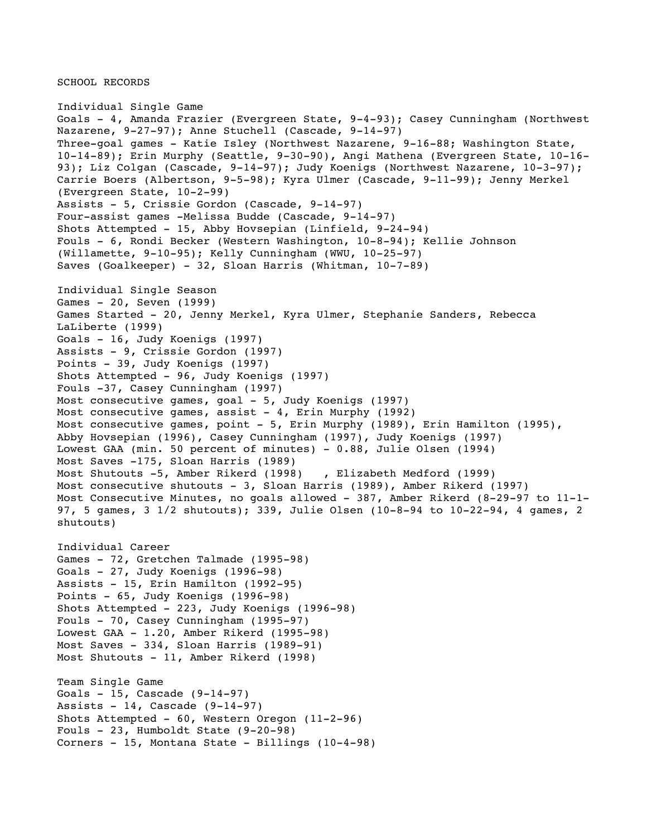SCHOOL RECORDS

Individual Single Game Goals - 4, Amanda Frazier (Evergreen State, 9-4-93); Casey Cunningham (Northwest Nazarene, 9-27-97); Anne Stuchell (Cascade, 9-14-97) Three-goal games - Katie Isley (Northwest Nazarene, 9-16-88; Washington State, 10-14-89); Erin Murphy (Seattle, 9-30-90), Angi Mathena (Evergreen State, 10-16- 93); Liz Colgan (Cascade, 9-14-97); Judy Koenigs (Northwest Nazarene, 10-3-97); Carrie Boers (Albertson, 9-5-98); Kyra Ulmer (Cascade, 9-11-99); Jenny Merkel (Evergreen State, 10-2-99) Assists - 5, Crissie Gordon (Cascade, 9-14-97) Four-assist games -Melissa Budde (Cascade, 9-14-97) Shots Attempted - 15, Abby Hovsepian (Linfield, 9-24-94) Fouls - 6, Rondi Becker (Western Washington, 10-8-94); Kellie Johnson (Willamette, 9-10-95); Kelly Cunningham (WWU, 10-25-97) Saves (Goalkeeper) - 32, Sloan Harris (Whitman, 10-7-89) Individual Single Season Games - 20, Seven (1999) Games Started - 20, Jenny Merkel, Kyra Ulmer, Stephanie Sanders, Rebecca LaLiberte (1999) Goals - 16, Judy Koenigs (1997) Assists - 9, Crissie Gordon (1997) Points - 39, Judy Koenigs (1997) Shots Attempted - 96, Judy Koenigs (1997) Fouls -37, Casey Cunningham (1997) Most consecutive games, goal - 5, Judy Koenigs (1997) Most consecutive games, assist - 4, Erin Murphy (1992) Most consecutive games, point - 5, Erin Murphy (1989), Erin Hamilton (1995), Abby Hovsepian (1996), Casey Cunningham (1997), Judy Koenigs (1997) Lowest GAA (min. 50 percent of minutes) - 0.88, Julie Olsen (1994) Most Saves -175, Sloan Harris (1989) Most Shutouts -5, Amber Rikerd (1998) , Elizabeth Medford (1999) Most consecutive shutouts - 3, Sloan Harris (1989), Amber Rikerd (1997) Most Consecutive Minutes, no goals allowed - 387, Amber Rikerd (8-29-97 to 11-1- 97, 5 games, 3 1/2 shutouts); 339, Julie Olsen (10-8-94 to 10-22-94, 4 games, 2 shutouts) Individual Career Games - 72, Gretchen Talmade (1995-98) Goals - 27, Judy Koenigs (1996-98) Assists - 15, Erin Hamilton (1992-95) Points - 65, Judy Koenigs (1996-98) Shots Attempted - 223, Judy Koenigs (1996-98) Fouls - 70, Casey Cunningham (1995-97) Lowest GAA - 1.20, Amber Rikerd (1995-98) Most Saves - 334, Sloan Harris (1989-91) Most Shutouts - 11, Amber Rikerd (1998) Team Single Game Goals - 15, Cascade (9-14-97) Assists  $-14$ , Cascade (9-14-97) Shots Attempted - 60, Western Oregon (11-2-96) Fouls - 23, Humboldt State (9-20-98) Corners - 15, Montana State - Billings (10-4-98)